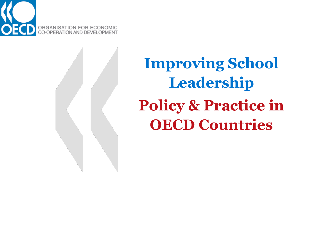

**Improving School Leadership Policy & Practice in OECD Countries**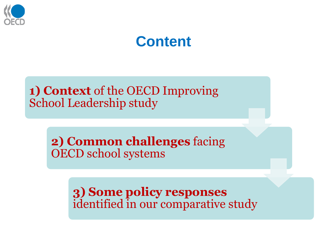

#### **Content**

**1) Context** of the OECD Improving School Leadership study

> **2) Common challenges** facing OECD school systems

> > **3) Some policy responses**  identified in our comparative study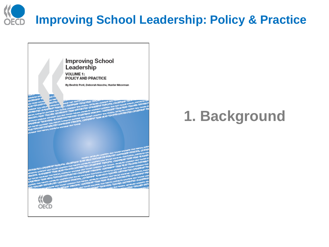# **Improving School Leadership: Policy & Practice**



#### **1. Background**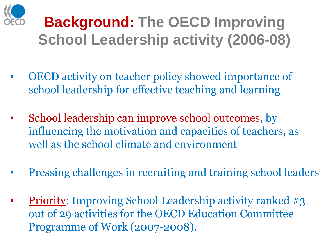

## **Background: The OECD Improving School Leadership activity (2006-08)**

- OECD activity on teacher policy showed importance of school leadership for effective teaching and learning
- School leadership can improve school outcomes, by influencing the motivation and capacities of teachers, as well as the school climate and environment
- Pressing challenges in recruiting and training school leaders
- **Priority:** Improving School Leadership activity ranked #3 out of 29 activities for the OECD Education Committee Programme of Work (2007-2008).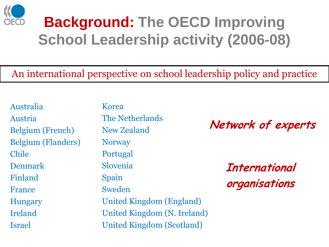

### **Background: The OECD Improving School Leadership activity (2006-08)**

#### An international perspective on school leadership policy and practice

Australia Austria Belgium (French) Belgium (Flanders) Chile Denmark Finland France Hungary Ireland Israel

Korea The Netherlands New Zealand **Norway** Portugal Slovenia Spain Sweden United Kingdom (England) United Kingdom (N. Ireland) United Kingdom (Scotland)

**Network of experts**

**International organisations**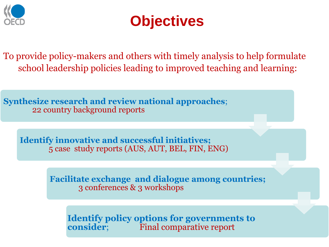



To provide policy-makers and others with timely analysis to help formulate school leadership policies leading to improved teaching and learning:

**Synthesize research and review national approaches**; 22 country background reports

**Identify innovative and successful initiatives;** 5 case study reports (AUS, AUT, BEL, FIN, ENG)

> **Facilitate exchange and dialogue among countries;**  3 conferences & 3 workshops

**Identify policy options for governments to consider**; Final comparative report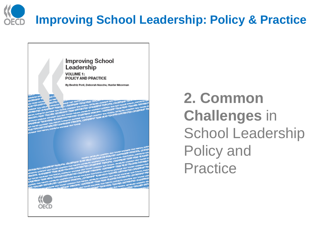# **Improving School Leadership: Policy & Practice**



#### **2. Common Challenges** in School Leadership Policy and Practice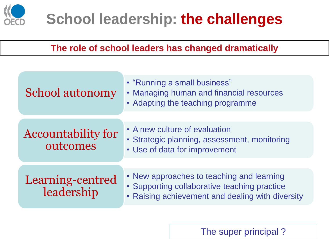

#### **The role of school leaders has changed dramatically**

| School autonomy                       | • "Running a small business"<br>• Managing human and financial resources<br>• Adapting the teaching programme                                 |
|---------------------------------------|-----------------------------------------------------------------------------------------------------------------------------------------------|
| <b>Accountability for</b><br>outcomes | • A new culture of evaluation<br>• Strategic planning, assessment, monitoring<br>• Use of data for improvement                                |
| Learning-centred<br>leadership        | • New approaches to teaching and learning<br>• Supporting collaborative teaching practice<br>• Raising achievement and dealing with diversity |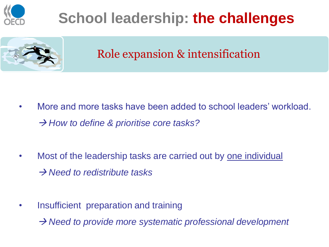



Role expansion & intensification

- More and more tasks have been added to school leaders' workload. → How to define & prioritise core tasks?
- Most of the leadership tasks are carried out by one individual → *Need to redistribute tasks*
- Insufficient preparation and training

→ Need to provide more systematic professional development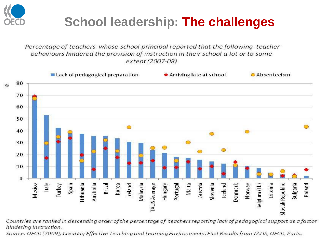

Percentage of teachers whose school principal reported that the following teacher behaviours hindered the provision of instruction in their school a lot or to some extent (2007-08)



Countries are ranked in descending order of the percentage of teachers reporting lack of pedagogical support as a factor hindering instruction.

Source: OECD (2009), Creating Effective Teaching and Learning Environments: First Results from TALIS, OECD, Paris.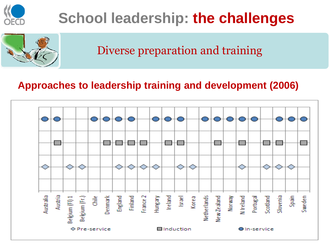

#### Diverse preparation and training

#### **Approaches to leadership training and development (2006)**

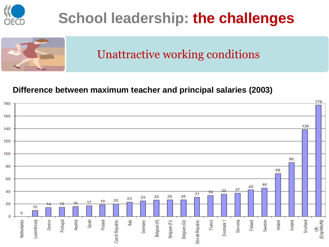



Unattractive working conditions

#### **Difference between maximum teacher and principal salaries (2003)**

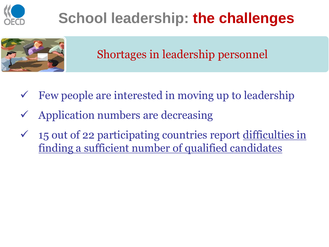



Shortages in leadership personnel

- Few people are interested in moving up to leadership
- Application numbers are decreasing
- $\checkmark$  15 out of 22 participating countries report difficulties in finding a sufficient number of qualified candidates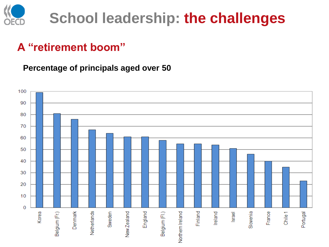

#### **A "retirement boom"**

**Percentage of principals aged over 50**

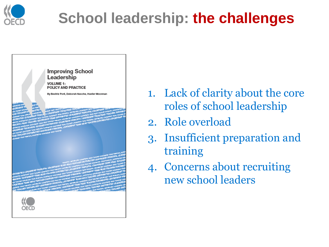



- 1. Lack of clarity about the core roles of school leadership
- 2. Role overload
- 3. Insufficient preparation and training
- 4. Concerns about recruiting new school leaders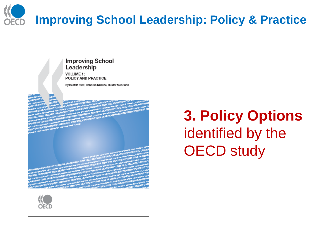# **Improving School Leadership: Policy & Practice**



#### **3. Policy Options**  identified by the OECD study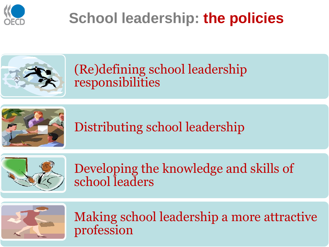



#### (Re)defining school leadership responsibilities



Distributing school leadership



Developing the knowledge and skills of school leaders



Making school leadership a more attractive profession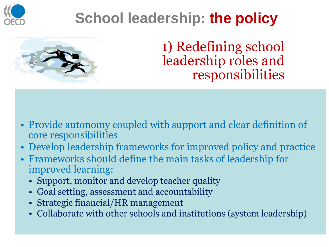



1) Redefining school leadership roles and responsibilities

- Provide autonomy coupled with support and clear definition of core responsibilities
- Develop leadership frameworks for improved policy and practice
- Frameworks should define the main tasks of leadership for improved learning:
	- Support, monitor and develop teacher quality
	- Goal setting, assessment and accountability
	- Strategic financial/HR management
	- Collaborate with other schools and institutions (system leadership)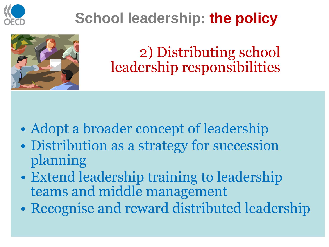



2) Distributing school leadership responsibilities

- Adopt a broader concept of leadership
- Distribution as a strategy for succession planning
- Extend leadership training to leadership teams and middle management
- Recognise and reward distributed leadership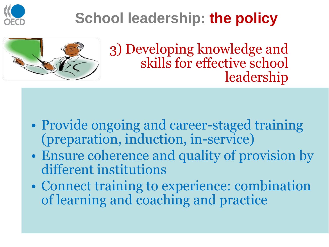



3) Developing knowledge and skills for effective school leadership

- Provide ongoing and career-staged training (preparation, induction, in-service)
- Ensure coherence and quality of provision by different institutions
- Connect training to experience: combination of learning and coaching and practice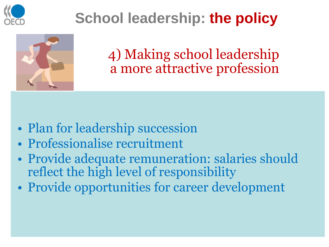



4) Making school leadership a more attractive profession

- Plan for leadership succession
- Professionalise recruitment
- Provide adequate remuneration: salaries should reflect the high level of responsibility
- Provide opportunities for career development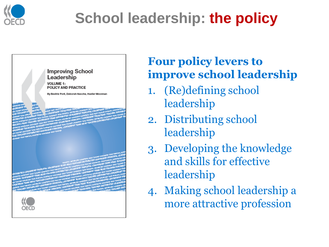



#### **Four policy levers to improve school leadership**

- 1. (Re)defining school leadership
- 2. Distributing school leadership
- 3. Developing the knowledge and skills for effective leadership
- 4. Making school leadership a more attractive profession